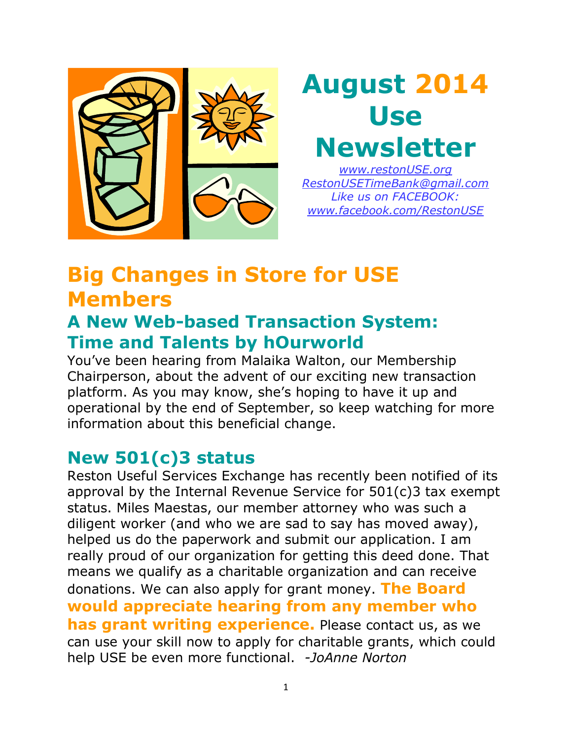

# **August 2014 Use Newsletter**

*www.restonUSE.org [RestonUSETimeBank@gmail.com](mailto:RestonUSETimeBank@gmail.com) Like us on FACEBOOK: [www.facebook.com/RestonUSE](http://www.facebook.com/RestonUSE)*

### **Big Changes in Store for USE Members**

#### **A New Web-based Transaction System: Time and Talents by hOurworld**

You've been hearing from Malaika Walton, our Membership Chairperson, about the advent of our exciting new transaction platform. As you may know, she's hoping to have it up and operational by the end of September, so keep watching for more information about this beneficial change.

#### **New 501(c)3 status**

Reston Useful Services Exchange has recently been notified of its approval by the Internal Revenue Service for 501(c)3 tax exempt status. Miles Maestas, our member attorney who was such a diligent worker (and who we are sad to say has moved away), helped us do the paperwork and submit our application. I am really proud of our organization for getting this deed done. That means we qualify as a charitable organization and can receive donations. We can also apply for grant money. **The Board would appreciate hearing from any member who has grant writing experience.** Please contact us, as we can use your skill now to apply for charitable grants, which could help USE be even more functional. *-JoAnne Norton*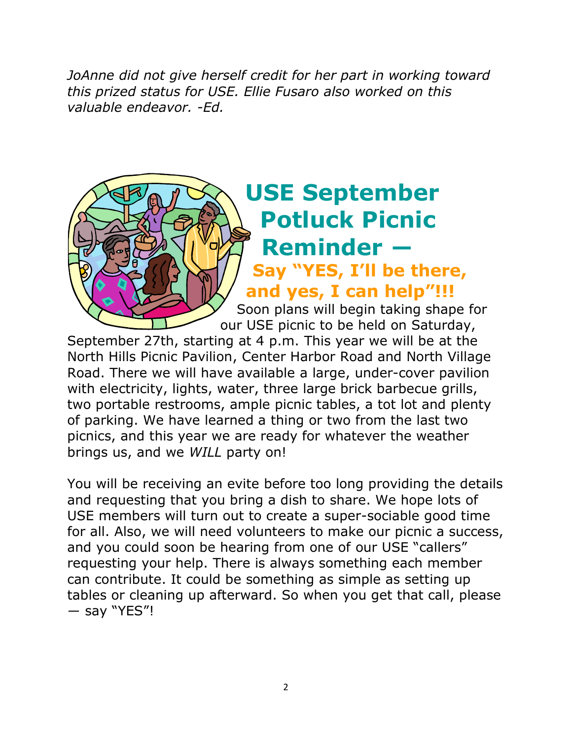*JoAnne did not give herself credit for her part in working toward this prized status for USE. Ellie Fusaro also worked on this valuable endeavor. -Ed.* 

## **USE September Potluck Picnic Reminder ― Say "YES, I'll be there, and yes, I can help"!!!**

Soon plans will begin taking shape for our USE picnic to be held on Saturday,

September 27th, starting at 4 p.m. This year we will be at the North Hills Picnic Pavilion, Center Harbor Road and North Village Road. There we will have available a large, under-cover pavilion with electricity, lights, water, three large brick barbecue grills, two portable restrooms, ample picnic tables, a tot lot and plenty of parking. We have learned a thing or two from the last two picnics, and this year we are ready for whatever the weather brings us, and we *WILL* party on!

You will be receiving an evite before too long providing the details and requesting that you bring a dish to share. We hope lots of USE members will turn out to create a super-sociable good time for all. Also, we will need volunteers to make our picnic a success, and you could soon be hearing from one of our USE "callers" requesting your help. There is always something each member can contribute. It could be something as simple as setting up tables or cleaning up afterward. So when you get that call, please ― say "YES"!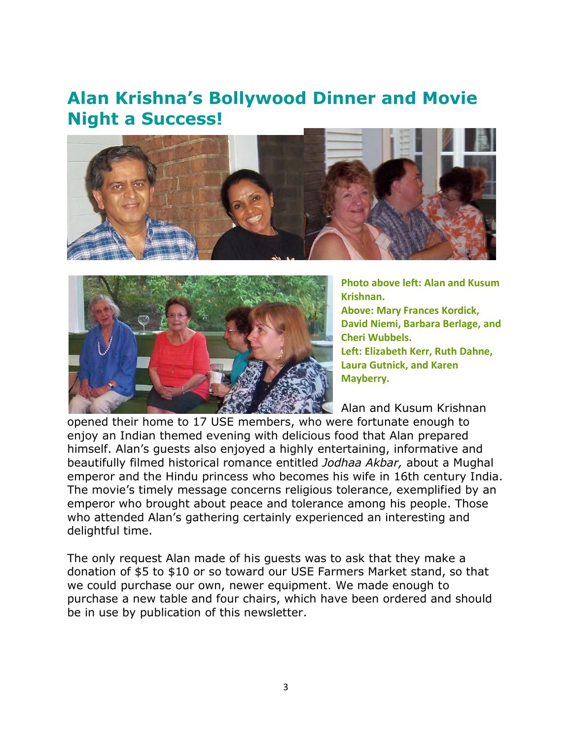#### **Alan Krishna's Bollywood Dinner and Movie Night a Success!**





**Photo above left: Alan and Kusum Krishnan.**

**Above: Mary Frances Kordick, David Niemi, Barbara Berlage, and Cheri Wubbels.**

**Left: Elizabeth Kerr, Ruth Dahne, Laura Gutnick, and Karen Mayberry.**

Alan and Kusum Krishnan

opened their home to 17 USE members, who were fortunate enough to enjoy an Indian themed evening with delicious food that Alan prepared himself. Alan's guests also enjoyed a highly entertaining, informative and beautifully filmed historical romance entitled *Jodhaa Akbar,* about a Mughal emperor and the Hindu princess who becomes his wife in 16th century India. The movie's timely message concerns religious tolerance, exemplified by an emperor who brought about peace and tolerance among his people. Those who attended Alan's gathering certainly experienced an interesting and delightful time.

The only request Alan made of his guests was to ask that they make a donation of \$5 to \$10 or so toward our USE Farmers Market stand, so that we could purchase our own, newer equipment. We made enough to purchase a new table and four chairs, which have been ordered and should be in use by publication of this newsletter.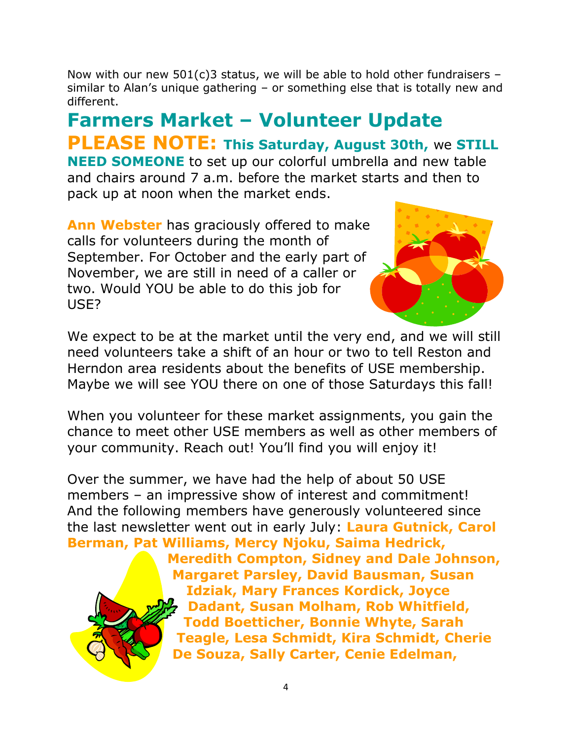Now with our new 501(c)3 status, we will be able to hold other fundraisers – similar to Alan's unique gathering – or something else that is totally new and different.

**Farmers Market – Volunteer Update PLEASE NOTE: This Saturday, August 30th,** we **STILL NEED SOMEONE** to set up our colorful umbrella and new table and chairs around 7 a.m. before the market starts and then to pack up at noon when the market ends.

**Ann Webster** has graciously offered to make calls for volunteers during the month of September. For October and the early part of November, we are still in need of a caller or two. Would YOU be able to do this job for USE?



We expect to be at the market until the very end, and we will still need volunteers take a shift of an hour or two to tell Reston and Herndon area residents about the benefits of USE membership. Maybe we will see YOU there on one of those Saturdays this fall!

When you volunteer for these market assignments, you gain the chance to meet other USE members as well as other members of your community. Reach out! You'll find you will enjoy it!

Over the summer, we have had the help of about 50 USE members – an impressive show of interest and commitment! And the following members have generously volunteered since the last newsletter went out in early July: **Laura Gutnick, Carol Berman, Pat Williams, Mercy Njoku, Saima Hedrick,** 



**Meredith Compton, Sidney and Dale Johnson, Margaret Parsley, David Bausman, Susan Idziak, Mary Frances Kordick, Joyce Dadant, Susan Molham, Rob Whitfield, Todd Boetticher, Bonnie Whyte, Sarah Teagle, Lesa Schmidt, Kira Schmidt, Cherie De Souza, Sally Carter, Cenie Edelman,**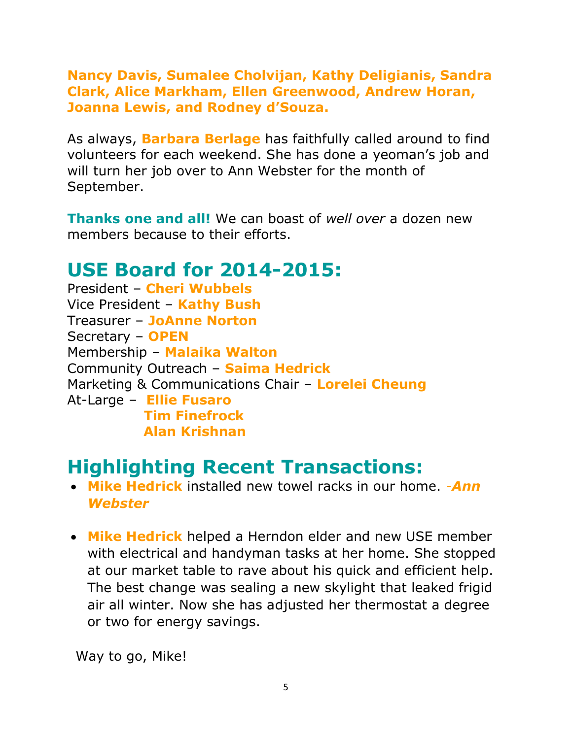**Nancy Davis, Sumalee Cholvijan, Kathy Deligianis, Sandra Clark, Alice Markham, Ellen Greenwood, Andrew Horan, Joanna Lewis, and Rodney d'Souza.**

As always, **Barbara Berlage** has faithfully called around to find volunteers for each weekend. She has done a yeoman's job and will turn her job over to Ann Webster for the month of September.

**Thanks one and all!** We can boast of *well over* a dozen new members because to their efforts.

#### **USE Board for 2014-2015:**

President – **Cheri Wubbels** Vice President – **Kathy Bush** Treasurer – **JoAnne Norton** Secretary – **OPEN** Membership – **Malaika Walton** Community Outreach – **Saima Hedrick** Marketing & Communications Chair – **Lorelei Cheung** At-Large – **Ellie Fusaro Tim Finefrock Alan Krishnan**

#### **Highlighting Recent Transactions:**

- **Mike Hedrick** installed new towel racks in our home. *-Ann Webster*
- **Mike Hedrick** helped a Herndon elder and new USE member with electrical and handyman tasks at her home. She stopped at our market table to rave about his quick and efficient help. The best change was sealing a new skylight that leaked frigid air all winter. Now she has adjusted her thermostat a degree or two for energy savings.

Way to go, Mike!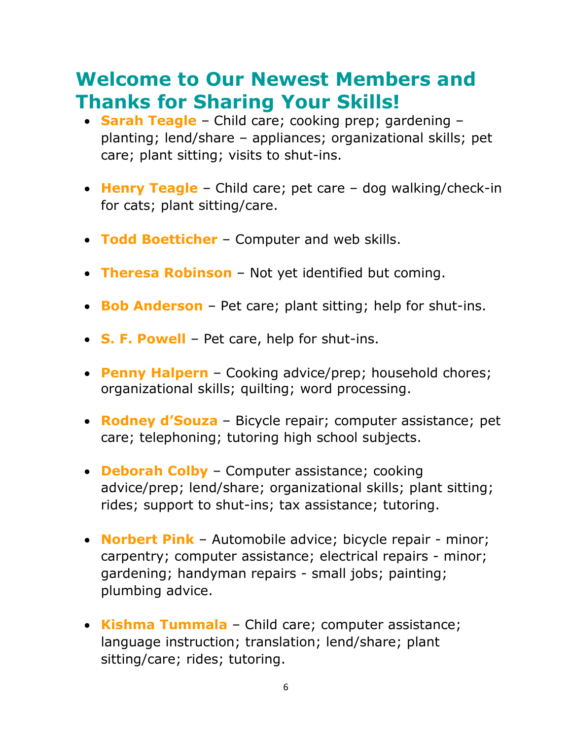### **Welcome to Our Newest Members and Thanks for Sharing Your Skills!**

- **Sarah Teagle** Child care; cooking prep; gardening planting; lend/share – appliances; organizational skills; pet care; plant sitting; visits to shut-ins.
- **Henry Teagle** Child care; pet care dog walking/check-in for cats; plant sitting/care.
- **Todd Boetticher** Computer and web skills.
- **Theresa Robinson** Not yet identified but coming.
- **Bob Anderson** Pet care; plant sitting; help for shut-ins.
- **S. F. Powell** Pet care, help for shut-ins.
- **Penny Halpern** Cooking advice/prep; household chores; organizational skills; quilting; word processing.
- **Rodney d'Souza** Bicycle repair; computer assistance; pet care; telephoning; tutoring high school subjects.
- **Deborah Colby** Computer assistance; cooking advice/prep; lend/share; organizational skills; plant sitting; rides; support to shut-ins; tax assistance; tutoring.
- **Norbert Pink** Automobile advice; bicycle repair minor; carpentry; computer assistance; electrical repairs - minor; gardening; handyman repairs - small jobs; painting; plumbing advice.
- **Kishma Tummala** Child care; computer assistance; language instruction; translation; lend/share; plant sitting/care; rides; tutoring.